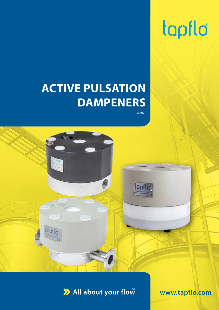# tapflo

# **ACTIVE PULSATION DAMPENERS**

2020 | 2



>> All about your flow

**www.tapflo.com**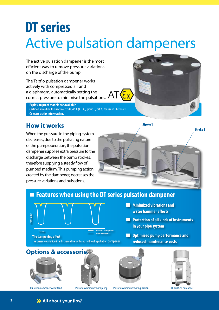# **DT series** Active pulsation dampeners

The active pulsation dampener is the most efficient way to remove pressure variations on the discharge of the pump.

The Tapflo pulsation dampener works actively with compressed air and a diaphragm, automatically setting the correct pressure to minimise the pulsations.  $AT$ 

**Explosion proof models are available** Certified according to directive 2014/34/EC (ATEX), group II, cat 2 , for use in EX-zone 1. **Contact us for information.**

### **How it works** Stroke 1

When the pressure in the piping system decreases, due to the pulsating nature of the pump operation, the pulsation dampener supplies extra pressure to the discharge between the pump strokes, therefore supplying a steady flow of pumped medium. This pumping action created by the dampener, decreases the pressure variations and pulsations.



#### **Features when using the DT series pulsation dampener**



**Minimized vibrations and water hammer effects** 

- **Protection of all kinds of instruments in your pipe system**
- **Optimized pump performance and reduced maintenance costs**

#### **Options & accessories**

![](_page_1_Picture_14.jpeg)

![](_page_1_Picture_16.jpeg)

![](_page_1_Picture_18.jpeg)

Pulsation dampener with stand Pulsation dampener with pump Pulsation dampener with guardian TK built-on dampener

![](_page_1_Picture_20.jpeg)

>> All about your flow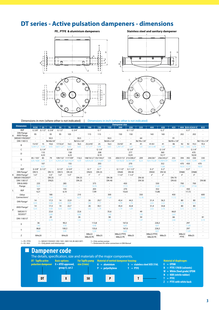### **DT series - Active pulsation dampeners - dimensions**

![](_page_2_Figure_2.jpeg)

![](_page_2_Figure_3.jpeg)

![](_page_2_Figure_4.jpeg)

![](_page_2_Figure_5.jpeg)

![](_page_2_Figure_6.jpeg)

Dimensions in mm (where other is not indicated) | Dimensions in inch (where other is not indicated)

| <b>Dimension</b> |                                         |                          |                          |                          |                                               |                          |                          |                                                        |              |                     | <b>Dampener size</b>                          |                          |                          |                                 |                          |                          |                          |                          |                          |                          |
|------------------|-----------------------------------------|--------------------------|--------------------------|--------------------------|-----------------------------------------------|--------------------------|--------------------------|--------------------------------------------------------|--------------|---------------------|-----------------------------------------------|--------------------------|--------------------------|---------------------------------|--------------------------|--------------------------|--------------------------|--------------------------|--------------------------|--------------------------|
|                  |                                         | 9/20                     | 25                       | 30                       | 50                                            | 70                       | 80                       | 100                                                    | 120          | 125                 | 200                                           | 220                      | 225                      | 400                             | 420                      | 425                      |                          |                          | 800 820 A 820 S          | 825                      |
|                  | <b>BSP</b>                              | G 3/8"                   | G 3/8"<br>G 1/2"         |                          | G 1/2"                                        | G 3/4"                   |                          | G1"                                                    |              | G 1 1/2             |                                               |                          | $G2$ "                   |                                 |                          | $\overline{\phantom{a}}$ | G3"                      | $\sim$                   | $\overline{\phantom{a}}$ |                          |
| A                | <b>DIN Flange</b><br><b>ANSI Flange</b> | 95                       |                          | 95                       | 95                                            | 105                      |                          | 115                                                    | 115          | $\sim$              | 150                                           | 150                      | $\overline{\phantom{a}}$ | 165                             | 165                      | $\overline{a}$           | 202                      |                          | 202                      |                          |
|                  | SMS3017/ISO2037                         | $\sim$                   | $\sim$                   | 50,5                     | $\sim$                                        | $\bar{a}$                | 50,5                     | $\sim$                                                 | $\sim$       | 50,5                | $\blacksquare$                                | $\sim$                   | 64                       | $\overline{\phantom{a}}$        | $\sim$                   | 91                       | $\sim$                   | $\sim$                   | $\bar{a}$                |                          |
|                  | DIN 118513                              | $\sim$                   | $\sim$                   | Rd 44x1/6"               | ÷.                                            | $\overline{a}$           | Rd 52 x 1/6"             | $\sim$                                                 | $\sim$       | Rd 65 x 1/6"        | $\sim$                                        | $\overline{\phantom{a}}$ | Rd 78 x 1/6"             | $\sim$                          | $\overline{a}$           | Rd 95 x 1/6"             | $\sim$                   | $\sim$                   | $\omega$                 | Rd 110 x 1/4"            |
|                  | B                                       | 15/33                    | 15                       | 10,6                     | $17/32,4$ <sup>1</sup>                        | 16,5                     | 16,5                     | $25,5/45$ <sup>1</sup>                                 | 25           | 16,5                | $33/50$ <sup>1</sup>                          | 41                       | 41                       | 41/61                           | 41                       | 46                       | 92                       | 92                       | 19,3                     | 19,3                     |
|                  |                                         | 0.59/1.3                 | 0.59                     | 0.42                     | 0.67/1.27                                     | 0,65                     | 0.65                     | 1/1,77                                                 | 0.98         | 0.65                | 1,29/1,97                                     | 1.61                     | 1.61                     | $1.61/2.40$ <sup>1</sup>        | 1.61                     | 1,81                     | 3.62                     | 3,62                     | 0,76                     | 0,76                     |
|                  | C                                       | G 1/4"                   |                          | G 1/4"                   |                                               | G 1/4"                   |                          |                                                        | G 1/4"       |                     |                                               | G 1/4"                   |                          |                                 |                          |                          |                          |                          |                          |                          |
|                  | D                                       | 110                      |                          |                          | 158                                           |                          |                          | 208                                                    |              |                     | 277                                           |                          |                          | 360                             |                          |                          | G 1/4"<br>470            |                          |                          |                          |
|                  |                                         | 4,33                     |                          | 6,22                     |                                               | 8.19                     |                          | 10,91                                                  |              |                     | 14,17                                         |                          |                          | 18,50                           |                          |                          |                          |                          |                          |                          |
|                  |                                         | 85/103                   | 85                       | 79                       | 109/1321 117/1092                             |                          | 116,5                    | 148/161,5 <sup>1</sup> 135/144,5 <sup>2</sup>          |              | 135                 | 200/217,5 <sup>1</sup> 213/200,5 <sup>2</sup> |                          | 209                      | 244/2611                        | 256/243,5 <sup>2</sup>   | 255                      | 394                      | 392                      | 330                      | 330                      |
|                  | G                                       | $3,35/4,06$ <sup>1</sup> | 3,35                     | 3,11                     | 4,29/5,20 <sup>1</sup> 4,61/4,29 <sup>2</sup> |                          | 4,59                     | 5,83/6,36 <sup>1</sup> 5,31/5,69 <sup>2</sup>          |              | 5,31                | 7,87/8,561                                    | 8,39/7,89                | 8,23                     | 9,61/10,281                     | 10,08/9,59 <sup>2</sup>  | 10,04                    | 15,51                    |                          | 15,43 12,99              | 12,99                    |
|                  |                                         | 107                      |                          |                          | 155                                           |                          |                          | 203                                                    |              |                     | 270                                           |                          |                          | 352                             |                          |                          | 470                      | 450<br>470               |                          |                          |
|                  |                                         | 4.21                     |                          |                          | 6.10                                          |                          |                          | 7,99                                                   |              |                     | 10.63                                         |                          |                          | 13,86                           |                          |                          |                          | 18,50 17,72              |                          | 18,50                    |
|                  | <b>BSP</b>                              | G 3/8"                   | G1/2"                    | $\overline{\phantom{a}}$ | G 1/2"                                        | G 3/4"                   | $\sim$                   | G1"                                                    | G 1"         | $\sim$              | G11/2"                                        | G 11/2"                  | $\sim$                   | G 2"                            | G 2"                     | $\sim$                   | $\sim$                   | G3"                      | $\omega$                 |                          |
|                  | DIN Flange <sup>4</sup>                 | <b>DN15</b>              | $\sim$                   | <b>DN 15</b>             | <b>DN15</b>                                   | <b>DN 20</b>             | $\sim$                   | <b>DN25</b>                                            | <b>DN 25</b> | $\omega$            | <b>DN40</b>                                   | <b>DN 40</b>             | $\sim$                   | <b>DN50</b>                     | <b>DN 50</b>             | ÷.                       | <b>DN80</b>              | $\sim$                   | <b>DN80</b>              | $\overline{\phantom{a}}$ |
| K                | ANSI Flange <sup>4</sup>                | 1/2"                     | $\sim$                   | 1/2"                     | 1/2"                                          | 1/2"                     | $\sim$                   | 1"                                                     | 1"           | $\sim$              | 11/2"                                         | 11/2"                    | $\sim$                   | 2"                              | 2"                       | $\sim$                   | 3"                       | $\sim$                   | 3"                       |                          |
|                  | SMS3017/ISO20375                        | $\sim$                   | $\sim$                   | <b>DN 25</b>             | $\sim$                                        | $\sim$                   | <b>DN 25</b>             | $\overline{\phantom{a}}$                               | $\sim$       | <b>DN 38</b>        | $\sim$                                        | $\sim$                   | <b>DN 50</b>             | $\sim$                          | ÷.                       | <b>DN 70</b>             | $\sim$                   | $\sim$                   | ÷.                       |                          |
|                  | DIN 118513 <sup>5</sup>                 | $\overline{a}$           | $\sim$                   | <b>DN25</b>              | ÷                                             | ÷                        | <b>DN 25</b>             |                                                        | $\sim$       | <b>DN 40</b>        |                                               | $\overline{a}$           | <b>DN 50</b>             |                                 | $\sim$                   | DN 65                    | $\sim$                   | ÷                        | $\omega$                 | <b>DN 80</b>             |
|                  | DIN & ANSI                              | 235                      |                          | $\sim$                   | 285                                           |                          | $\overline{\phantom{a}}$ |                                                        | 375          |                     | 450                                           |                          | $\sim$                   | 550<br>$\sim$                   |                          |                          | 700                      | $\sim$                   | 700                      |                          |
|                  | Flange                                  | 9.25<br>$\sim$           |                          |                          | 11.22                                         |                          | $\overline{\phantom{a}}$ | 14,76<br>$\sim$                                        |              |                     | 17.72                                         |                          | $\overline{\phantom{a}}$ | 21,65                           |                          | $\sim$                   | 27,56                    |                          | 27,56                    |                          |
|                  | <b>BSP</b>                              | 107<br>$\sim$            |                          |                          | 155                                           |                          | $\overline{\phantom{a}}$ | 203                                                    |              | $\sim$              | 270                                           |                          | $\sim$                   | 352<br>$\sim$                   |                          |                          | $\overline{\phantom{a}}$ | 450                      | $\sim$                   |                          |
| L                |                                         | 4,21                     |                          | $\sim$                   | 6,10<br>$\sim$                                |                          |                          | 7,99                                                   |              | $\omega$            | 10,63                                         |                          | $\sim$                   | 13,86                           |                          | $\sim$                   | $\sim$                   | 17,72                    | $\sim$                   |                          |
|                  | Other                                   | ÷.                       |                          | 180                      | $\omega$                                      |                          | 210                      | ÷,                                                     |              | 300                 | ÷.                                            |                          | 350                      | $\sim$                          |                          | 450                      | $\overline{\phantom{a}}$ | $\overline{\phantom{a}}$ | $\omega$                 | 600                      |
|                  | Connections <sup>3</sup>                | ٠                        |                          | 7.09                     |                                               | $\sim$                   | 8.27                     | $\sim$                                                 |              | 11.81               | $\sim$                                        |                          | 13.78                    | $\sim$                          |                          | 17.72                    | $\sim$                   | $\sim$                   | $\sim$                   | 23,62                    |
|                  | DIN Flange <sup>4</sup>                 | 14                       | $\overline{\phantom{a}}$ | 17,3                     | 14                                            | 22,9                     | $\overline{\phantom{a}}$ | 26                                                     | 29,7         | $\blacksquare$      | 45.4                                          | 44,3                     | $\overline{\phantom{a}}$ | 51.4                            | 56,3                     | $\sim$                   | 80                       | ÷,                       | 80                       |                          |
|                  |                                         | 0.55                     | $\sim$                   | 0,68                     | 0,55                                          | 0,90                     | $\sim$                   | 1,02                                                   | 1,17         | $\sim$              | 1.79                                          | 1.74                     | $\sim$                   | 2.02                            | 2.22                     | $\sim$                   | 3,15                     | $\blacksquare$           | 3,15                     | $\overline{\phantom{a}}$ |
|                  | ANSI Flange <sup>4</sup>                | 14                       | $\sim$                   | 17,3                     | 14                                            | 22,7                     | $\sim$                   | 26                                                     | 30,1         | $\sim$              | 45,4                                          | 42,8                     | $\sim$                   | 51,4                            | 54,8                     | $\sim$                   | 80                       | $\sim$                   | 80                       | $\overline{\phantom{a}}$ |
| P                |                                         | 0.55                     | ÷                        | 0,68                     | 0,55                                          | 0.89                     | $\sim$                   | 1.02                                                   | 1,19         | $\omega$            | 1.79                                          | 1.69                     | $\sim$                   | 2.02                            | 2,16                     | ÷.                       | 3,15                     | $\sim$                   | 3,15                     | $\overline{\phantom{a}}$ |
|                  | SMS3017/                                | $\sim$                   | $\sim$                   | 22,6                     | ÷.                                            | $\sim$                   | 22,6                     |                                                        | $\sim$       | 35.6                | $\sim$                                        | $\sim$                   | 49                       | $\sim$                          | $\sim$                   | 66.8                     | $\sim$                   | $\overline{\phantom{a}}$ | $\sim$                   | $\overline{\phantom{a}}$ |
|                  | ISO20375                                | $\sim$                   | $\omega$                 | 0.89                     | $\sim$                                        | ٠                        | 0.89                     | $\overline{\phantom{a}}$                               | $\sim$       | 1.40                | $\sim$                                        | $\overline{\phantom{a}}$ | 1.93                     | $\sim$                          | $\sim$                   | 2.63                     | $\sim$                   | $\sim$                   | $\sim$                   |                          |
|                  | DIN 1185135                             | ٠                        | $\sim$                   | 20                       | $\overline{a}$                                | $\overline{a}$           | 26                       | $\sim$                                                 |              | 38                  | $\sim$                                        | ٠                        | 50                       | $\overline{a}$                  | ÷,                       | 66                       | $\overline{\phantom{a}}$ | ä,                       | $\sim$                   | 81                       |
|                  |                                         |                          | $\sim$                   | 0,79                     | $\overline{\phantom{a}}$                      | $\overline{\phantom{a}}$ | 1,02                     |                                                        | $\sim$       | 1,50                | $\sim$                                        | $\sim$                   | 1,97                     | $\overline{\phantom{a}}$        | $\overline{\phantom{a}}$ | 2,60                     | $\sim$                   | $\sim$                   | $\sim$                   | 3,19                     |
|                  | X                                       | 36                       |                          | $\omega$                 | 90,3                                          |                          | $\overline{\phantom{a}}$ | 113,8                                                  |              | $\bar{\phantom{a}}$ | 167,6                                         |                          | $\sim$                   | 226,3                           |                          | $\overline{\phantom{a}}$ | 297                      |                          |                          |                          |
|                  |                                         | 1,42                     |                          | $\sim$                   |                                               | 3,56<br>$\sim$           |                          | 4,48                                                   |              | $\sim$              | 6.60                                          |                          | $\overline{\phantom{a}}$ | 8.91<br>ä,                      |                          |                          | 11,69                    |                          |                          |                          |
|                  |                                         | 86,8                     |                          | $\sim$                   | 100,3                                         |                          | $\overline{\phantom{a}}$ | 135,6                                                  |              | $\sim$              | 167,6                                         |                          | $\overline{\phantom{a}}$ | 226,3                           |                          | $\overline{\phantom{a}}$ | 297                      |                          |                          |                          |
|                  | Y                                       | 3,42                     |                          | $\overline{\phantom{a}}$ | 3,95                                          |                          | $\overline{a}$           | 5,34                                                   |              | $\sim$              | 6.60                                          |                          | $\ddot{\phantom{1}}$     | 8,91                            |                          | $\overline{a}$           | 11,69                    |                          |                          |                          |
| Z                |                                         | M4x20                    |                          | L.                       | M4x20                                         |                          |                          | M8x22<br>M8x25<br>$\overline{\phantom{a}}$<br>M8x30 PE |              |                     | M8x22 PTFE<br>M8x25<br>M8x22 PE               |                          | $\overline{\phantom{a}}$ | M8x22 PTFE<br>M8x25<br>M8x30 PE |                          |                          | M8x22<br>PTFE            | M8x25                    |                          |                          |

1 = PE / PTFE 2 = SS / ALU

3 = SMS3017/ISO2037, DIN 11851, SMS1145, BS 4825 (RJT)  $4 =$  Only plastic and metal pump

5 = Only sanitary pumps \* = Dimensions for other connections in IOM Manual

![](_page_2_Figure_13.jpeg)